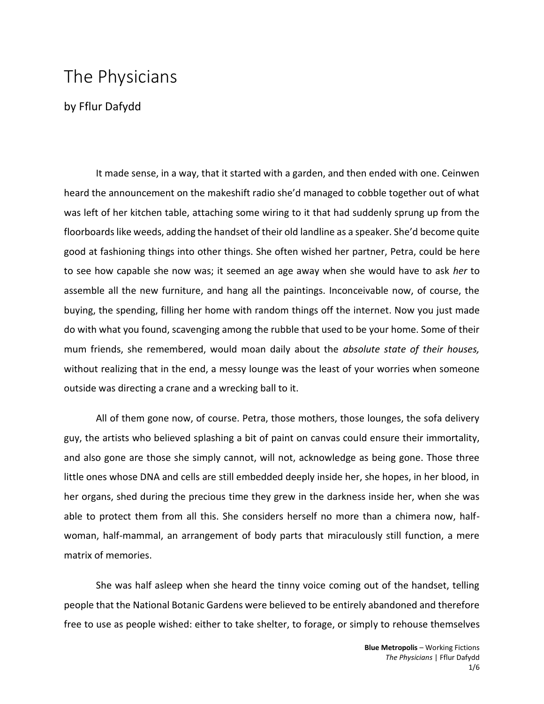## The Physicians

by Fflur Dafydd

It made sense, in a way, that it started with a garden, and then ended with one. Ceinwen heard the announcement on the makeshift radio she'd managed to cobble together out of what was left of her kitchen table, attaching some wiring to it that had suddenly sprung up from the floorboards like weeds, adding the handset of their old landline as a speaker. She'd become quite good at fashioning things into other things. She often wished her partner, Petra, could be here to see how capable she now was; it seemed an age away when she would have to ask *her* to assemble all the new furniture, and hang all the paintings. Inconceivable now, of course, the buying, the spending, filling her home with random things off the internet. Now you just made do with what you found, scavenging among the rubble that used to be your home. Some of their mum friends, she remembered, would moan daily about the *absolute state of their houses,*  without realizing that in the end, a messy lounge was the least of your worries when someone outside was directing a crane and a wrecking ball to it.

All of them gone now, of course. Petra, those mothers, those lounges, the sofa delivery guy, the artists who believed splashing a bit of paint on canvas could ensure their immortality, and also gone are those she simply cannot, will not, acknowledge as being gone. Those three little ones whose DNA and cells are still embedded deeply inside her, she hopes, in her blood, in her organs, shed during the precious time they grew in the darkness inside her, when she was able to protect them from all this. She considers herself no more than a chimera now, halfwoman, half-mammal, an arrangement of body parts that miraculously still function, a mere matrix of memories.

She was half asleep when she heard the tinny voice coming out of the handset, telling people that the National Botanic Gardens were believed to be entirely abandoned and therefore free to use as people wished: either to take shelter, to forage, or simply to rehouse themselves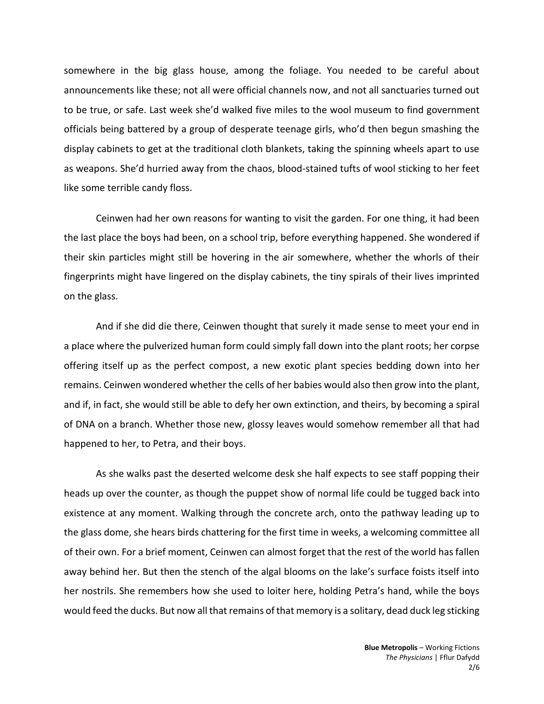somewhere in the big glass house, among the foliage. You needed to be careful about announcements like these; not all were official channels now, and not all sanctuaries turned out to be true, or safe. Last week she'd walked five miles to the wool museum to find government officials being battered by a group of desperate teenage girls, who'd then begun smashing the display cabinets to get at the traditional cloth blankets, taking the spinning wheels apart to use as weapons. She'd hurried away from the chaos, blood-stained tufts of wool sticking to her feet like some terrible candy floss.

Ceinwen had her own reasons for wanting to visit the garden. For one thing, it had been the last place the boys had been, on a school trip, before everything happened. She wondered if their skin particles might still be hovering in the air somewhere, whether the whorls of their fingerprints might have lingered on the display cabinets, the tiny spirals of their lives imprinted on the glass.

And if she did die there, Ceinwen thought that surely it made sense to meet your end in a place where the pulverized human form could simply fall down into the plant roots; her corpse offering itself up as the perfect compost, a new exotic plant species bedding down into her remains. Ceinwen wondered whether the cells of her babies would also then grow into the plant, and if, in fact, she would still be able to defy her own extinction, and theirs, by becoming a spiral of DNA on a branch. Whether those new, glossy leaves would somehow remember all that had happened to her, to Petra, and their boys.

As she walks past the deserted welcome desk she half expects to see staff popping their heads up over the counter, as though the puppet show of normal life could be tugged back into existence at any moment. Walking through the concrete arch, onto the pathway leading up to the glass dome, she hears birds chattering for the first time in weeks, a welcoming committee all of their own. For a brief moment, Ceinwen can almost forget that the rest of the world has fallen away behind her. But then the stench of the algal blooms on the lake's surface foists itself into her nostrils. She remembers how she used to loiter here, holding Petra's hand, while the boys would feed the ducks. But now all that remains of that memory is a solitary, dead duck leg sticking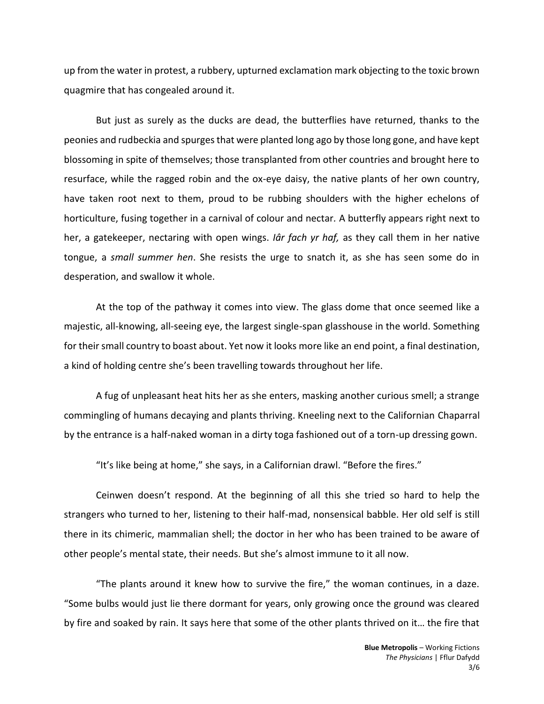up from the water in protest, a rubbery, upturned exclamation mark objecting to the toxic brown quagmire that has congealed around it.

But just as surely as the ducks are dead, the butterflies have returned, thanks to the peonies and rudbeckia and spurges that were planted long ago by those long gone, and have kept blossoming in spite of themselves; those transplanted from other countries and brought here to resurface, while the ragged robin and the ox-eye daisy, the native plants of her own country, have taken root next to them, proud to be rubbing shoulders with the higher echelons of horticulture, fusing together in a carnival of colour and nectar*.* A butterfly appears right next to her, a gatekeeper, nectaring with open wings. *Iâr fach yr haf,* as they call them in her native tongue, a *small summer hen*. She resists the urge to snatch it, as she has seen some do in desperation, and swallow it whole.

At the top of the pathway it comes into view. The glass dome that once seemed like a majestic, all-knowing, all-seeing eye, the largest single-span glasshouse in the world. Something for their small country to boast about. Yet now it looks more like an end point, a final destination, a kind of holding centre she's been travelling towards throughout her life.

A fug of unpleasant heat hits her as she enters, masking another curious smell; a strange commingling of humans decaying and plants thriving. Kneeling next to the Californian Chaparral by the entrance is a half-naked woman in a dirty toga fashioned out of a torn-up dressing gown.

"It's like being at home," she says, in a Californian drawl. "Before the fires."

Ceinwen doesn't respond. At the beginning of all this she tried so hard to help the strangers who turned to her, listening to their half-mad, nonsensical babble. Her old self is still there in its chimeric, mammalian shell; the doctor in her who has been trained to be aware of other people's mental state, their needs. But she's almost immune to it all now.

"The plants around it knew how to survive the fire," the woman continues, in a daze. "Some bulbs would just lie there dormant for years, only growing once the ground was cleared by fire and soaked by rain. It says here that some of the other plants thrived on it… the fire that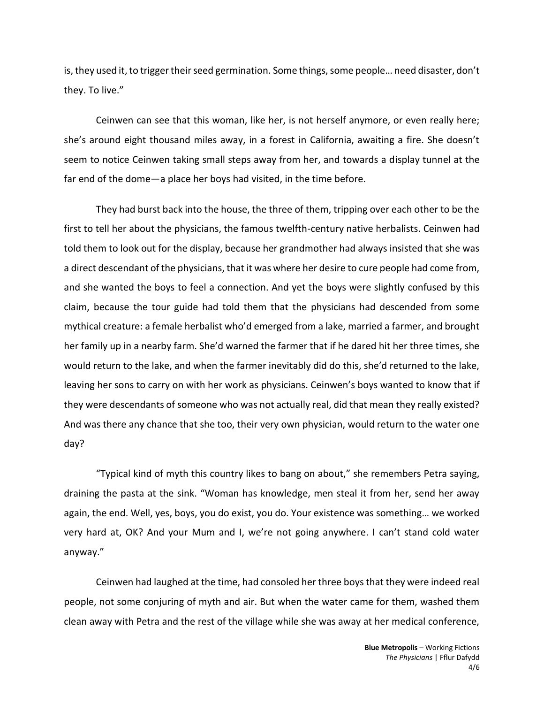is, they used it, to trigger their seed germination*.* Some things, some people… need disaster, don't they. To live."

Ceinwen can see that this woman, like her, is not herself anymore, or even really here; she's around eight thousand miles away, in a forest in California, awaiting a fire. She doesn't seem to notice Ceinwen taking small steps away from her, and towards a display tunnel at the far end of the dome—a place her boys had visited, in the time before.

They had burst back into the house, the three of them, tripping over each other to be the first to tell her about the physicians, the famous twelfth-century native herbalists. Ceinwen had told them to look out for the display, because her grandmother had always insisted that she was a direct descendant of the physicians, that it was where her desire to cure people had come from, and she wanted the boys to feel a connection. And yet the boys were slightly confused by this claim, because the tour guide had told them that the physicians had descended from some mythical creature: a female herbalist who'd emerged from a lake, married a farmer, and brought her family up in a nearby farm. She'd warned the farmer that if he dared hit her three times, she would return to the lake, and when the farmer inevitably did do this, she'd returned to the lake, leaving her sons to carry on with her work as physicians. Ceinwen's boys wanted to know that if they were descendants of someone who was not actually real, did that mean they really existed? And was there any chance that she too, their very own physician, would return to the water one day?

"Typical kind of myth this country likes to bang on about," she remembers Petra saying, draining the pasta at the sink. "Woman has knowledge, men steal it from her, send her away again, the end. Well, yes, boys, you do exist, you do. Your existence was something… we worked very hard at, OK? And your Mum and I, we're not going anywhere. I can't stand cold water anyway."

Ceinwen had laughed at the time, had consoled her three boys that they were indeed real people, not some conjuring of myth and air. But when the water came for them, washed them clean away with Petra and the rest of the village while she was away at her medical conference,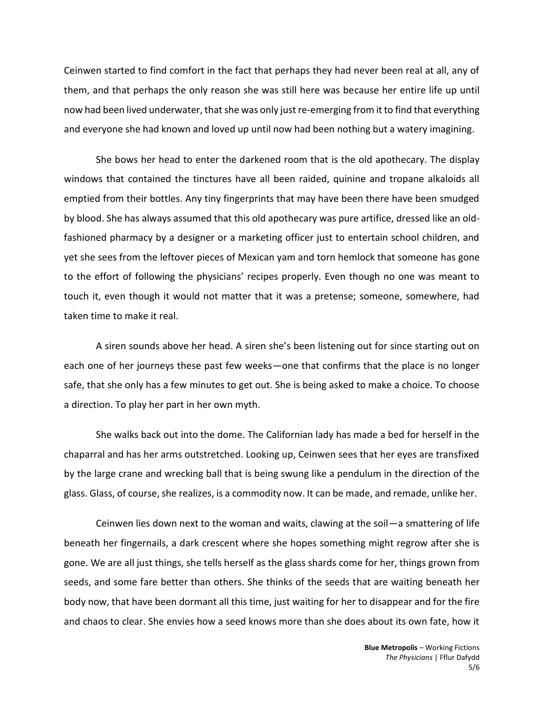Ceinwen started to find comfort in the fact that perhaps they had never been real at all, any of them, and that perhaps the only reason she was still here was because her entire life up until now had been lived underwater, that she was only just re-emerging from it to find that everything and everyone she had known and loved up until now had been nothing but a watery imagining.

She bows her head to enter the darkened room that is the old apothecary. The display windows that contained the tinctures have all been raided, quinine and tropane alkaloids all emptied from their bottles. Any tiny fingerprints that may have been there have been smudged by blood. She has always assumed that this old apothecary was pure artifice, dressed like an oldfashioned pharmacy by a designer or a marketing officer just to entertain school children, and yet she sees from the leftover pieces of Mexican yam and torn hemlock that someone has gone to the effort of following the physicians' recipes properly. Even though no one was meant to touch it, even though it would not matter that it was a pretense; someone, somewhere, had taken time to make it real.

A siren sounds above her head. A siren she's been listening out for since starting out on each one of her journeys these past few weeks—one that confirms that the place is no longer safe, that she only has a few minutes to get out. She is being asked to make a choice. To choose a direction. To play her part in her own myth.

She walks back out into the dome. The Californian lady has made a bed for herself in the chaparral and has her arms outstretched. Looking up, Ceinwen sees that her eyes are transfixed by the large crane and wrecking ball that is being swung like a pendulum in the direction of the glass. Glass, of course, she realizes, is a commodity now. It can be made, and remade, unlike her.

Ceinwen lies down next to the woman and waits, clawing at the soil—a smattering of life beneath her fingernails, a dark crescent where she hopes something might regrow after she is gone. We are all just things, she tells herself as the glass shards come for her, things grown from seeds, and some fare better than others. She thinks of the seeds that are waiting beneath her body now, that have been dormant all this time, just waiting for her to disappear and for the fire and chaos to clear. She envies how a seed knows more than she does about its own fate, how it